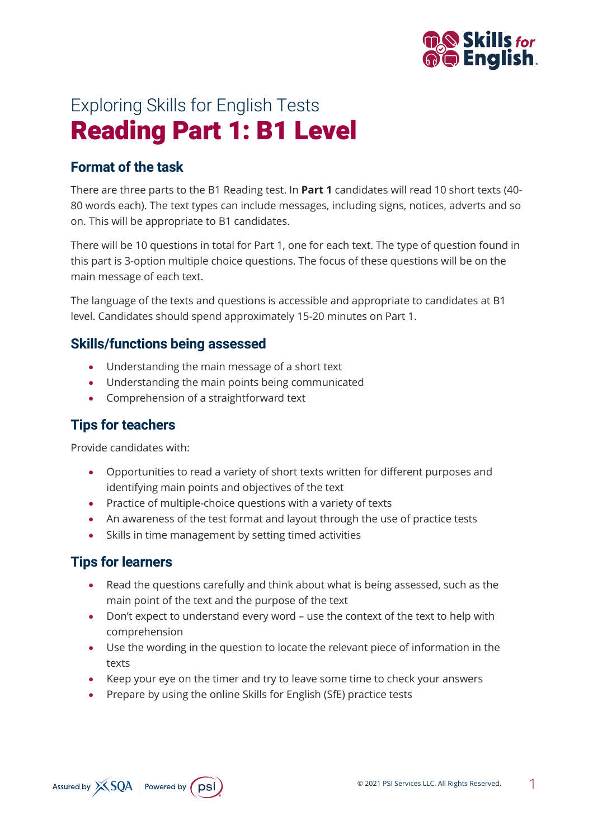

# Exploring Skills for English Tests Reading Part 1: B1 Level

# **Format of the task**

There are three parts to the B1 Reading test. In **Part 1** candidates will read 10 short texts (40- 80 words each). The text types can include messages, including signs, notices, adverts and so on. This will be appropriate to B1 candidates.

There will be 10 questions in total for Part 1, one for each text. The type of question found in this part is 3-option multiple choice questions. The focus of these questions will be on the main message of each text.

The language of the texts and questions is accessible and appropriate to candidates at B1 level. Candidates should spend approximately 15-20 minutes on Part 1.

#### **Skills/functions being assessed**

- Understanding the main message of a short text
- Understanding the main points being communicated
- Comprehension of a straightforward text

# **Tips for teachers**

Provide candidates with:

- Opportunities to read a variety of short texts written for different purposes and identifying main points and objectives of the text
- Practice of multiple-choice questions with a variety of texts
- An awareness of the test format and layout through the use of practice tests
- Skills in time management by setting timed activities

#### **Tips for learners**

- Read the questions carefully and think about what is being assessed, such as the main point of the text and the purpose of the text
- Don't expect to understand every word use the context of the text to help with comprehension
- Use the wording in the question to locate the relevant piece of information in the texts
- Keep your eye on the timer and try to leave some time to check your answers
- Prepare by using the online Skills for English (SfE) practice tests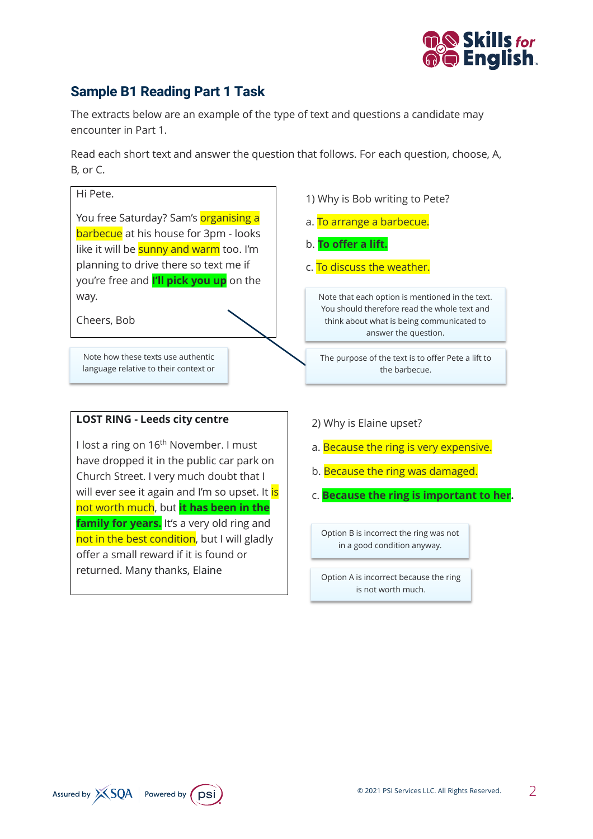

# **Sample B1 Reading Part 1 Task**

The extracts below are an example of the type of text and questions a candidate may encounter in Part 1.

Read each short text and answer the question that follows. For each question, choose, A, B, or C.



© 2021 PSI Services LLC. All Rights Reserved. 2